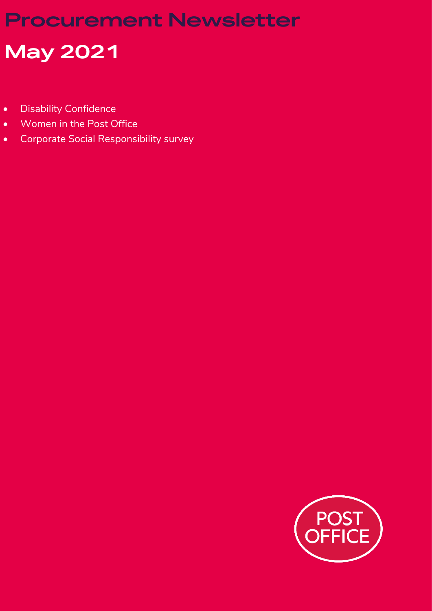## **Procurement Newsletter**

# **May 2021**

- Disability Confidence
- Women in the Post Office
- Corporate Social Responsibility survey